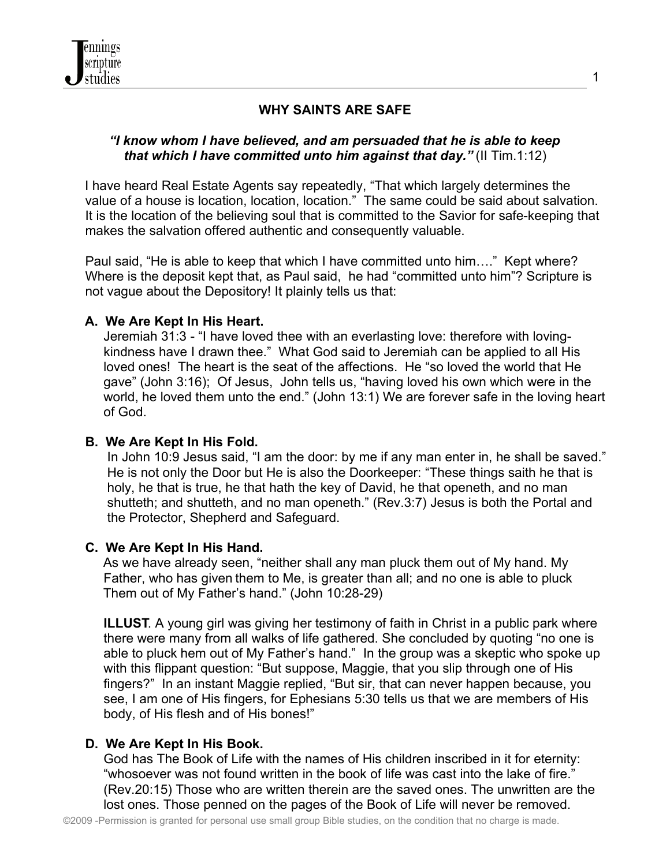# **WHY SAINTS ARE SAFE**

#### *"I know whom I have believed, and am persuaded that he is able to keep that which I have committed unto him against that day."* (II Tim.1:12)

I have heard Real Estate Agents say repeatedly, "That which largely determines the value of a house is location, location, location." The same could be said about salvation. It is the location of the believing soul that is committed to the Savior for safe-keeping that makes the salvation offered authentic and consequently valuable.

 Paul said, "He is able to keep that which I have committed unto him…." Kept where? Where is the deposit kept that, as Paul said, he had "committed unto him"? Scripture is not vague about the Depository! It plainly tells us that:

#### **A. We Are Kept In His Heart.**

 Jeremiah 31:3 - "I have loved thee with an everlasting love: therefore with loving kindness have I drawn thee." What God said to Jeremiah can be applied to all His loved ones! The heart is the seat of the affections. He "so loved the world that He gave" (John 3:16); Of Jesus, John tells us, "having loved his own which were in the world, he loved them unto the end." (John 13:1) We are forever safe in the loving heart of God.

#### **B. We Are Kept In His Fold.**

 In John 10:9 Jesus said, "I am the door: by me if any man enter in, he shall be saved." He is not only the Door but He is also the Doorkeeper: "These things saith he that is holy, he that is true, he that hath the key of David, he that openeth, and no man shutteth; and shutteth, and no man openeth." (Rev.3:7) Jesus is both the Portal and the Protector, Shepherd and Safeguard.

#### **C. We Are Kept In His Hand.**

As we have already seen, "neither shall any man pluck them out of My hand. My Father, who has given them to Me, is greater than all; and no one is able to pluck Them out of My Father's hand." (John 10:28-29)

 **ILLUST**. A young girl was giving her testimony of faith in Christ in a public park where there were many from all walks of life gathered. She concluded by quoting "no one is able to pluck hem out of My Father's hand." In the group was a skeptic who spoke up with this flippant question: "But suppose, Maggie, that you slip through one of His fingers?" In an instant Maggie replied, "But sir, that can never happen because, you see, I am one of His fingers, for Ephesians 5:30 tells us that we are members of His body, of His flesh and of His bones!"

#### **D. We Are Kept In His Book.**

 God has The Book of Life with the names of His children inscribed in it for eternity: "whosoever was not found written in the book of life was cast into the lake of fire." (Rev.20:15) Those who are written therein are the saved ones. The unwritten are the lost ones. Those penned on the pages of the Book of Life will never be removed.